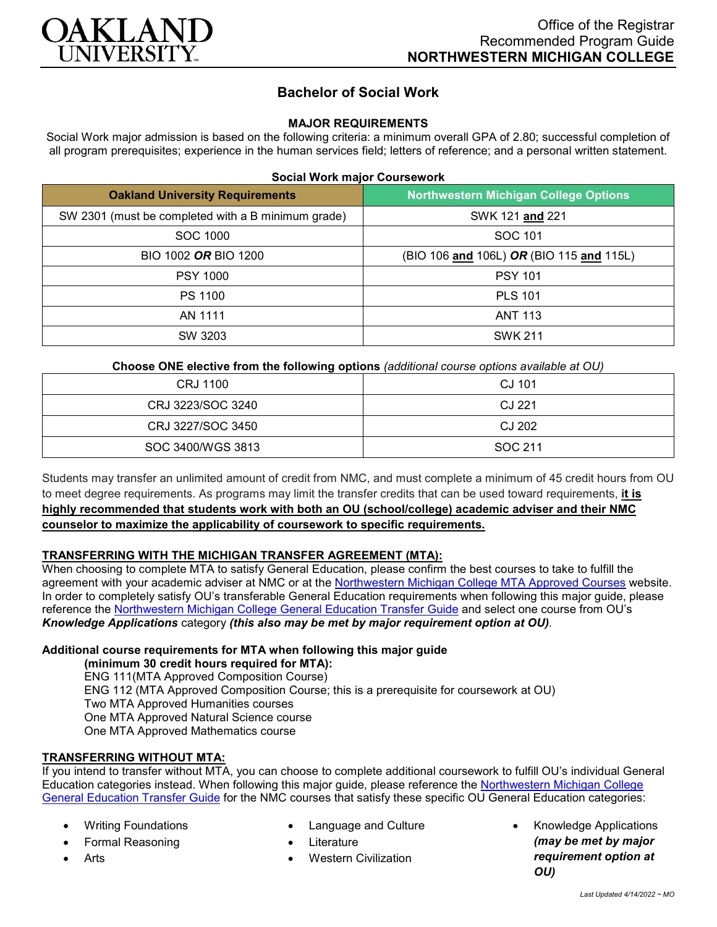

# **Bachelor of Social Work**

### **MAJOR REQUIREMENTS**

Social Work major admission is based on the following criteria: a minimum overall GPA of 2.80; successful completion of all program prerequisites; experience in the human services field; letters of reference; and a personal written statement.

|  |  |  | <b>Social Work major Coursework</b> |
|--|--|--|-------------------------------------|
|--|--|--|-------------------------------------|

| <b>Oakland University Requirements</b>             | <b>Northwestern Michigan College Options</b> |
|----------------------------------------------------|----------------------------------------------|
| SW 2301 (must be completed with a B minimum grade) | SWK 121 and 221                              |
| SOC 1000                                           | SOC 101                                      |
| BIO 1002 OR BIO 1200                               | (BIO 106 and 106L) OR (BIO 115 and 115L)     |
| <b>PSY 1000</b>                                    | <b>PSY 101</b>                               |
| PS 1100                                            | <b>PLS 101</b>                               |
| AN 1111                                            | <b>ANT 113</b>                               |
| SW 3203                                            | <b>SWK 211</b>                               |

**Choose ONE elective from the following options** *(additional course options available at OU)*

| CRJ 1100          | CJ 101  |
|-------------------|---------|
| CRJ 3223/SOC 3240 | CJ 221  |
| CRJ 3227/SOC 3450 | CJ 202  |
| SOC 3400/WGS 3813 | SOC 211 |

Students may transfer an unlimited amount of credit from NMC, and must complete a minimum of 45 credit hours from OU to meet degree requirements. As programs may limit the transfer credits that can be used toward requirements, **it is highly recommended that students work with both an OU (school/college) academic adviser and their NMC counselor to maximize the applicability of coursework to specific requirements.**

## **TRANSFERRING WITH THE MICHIGAN TRANSFER AGREEMENT (MTA):**

When choosing to complete MTA to satisfy General Education, please confirm the best courses to take to fulfill the agreement with your academic adviser at NMC or at the [Northwestern Michigan College MTA Approved Courses](https://www.nmc.edu/programs/course-descriptions/group-1-courses-for-mta.pdf) website. In order to completely satisfy OU's transferable General Education requirements when following this major guide, please reference the [Northwestern Michigan College General Education Transfer Guide](https://www.oakland.edu/Assets/Oakland/program-guides/northwestern-michigan-college/university-general-education-requirements/Northwestern%20Gen%20Ed.pdf) and select one course from OU's *Knowledge Applications* category *(this also may be met by major requirement option at OU)*.

## **Additional course requirements for MTA when following this major guide**

**(minimum 30 credit hours required for MTA):** ENG 111(MTA Approved Composition Course) ENG 112 (MTA Approved Composition Course; this is a prerequisite for coursework at OU) Two MTA Approved Humanities courses One MTA Approved Natural Science course One MTA Approved Mathematics course

### **TRANSFERRING WITHOUT MTA:**

If you intend to transfer without MTA, you can choose to complete additional coursework to fulfill OU's individual General Education categories instead. When following this major guide, please reference the [Northwestern Michigan College](https://www.oakland.edu/Assets/Oakland/program-guides/northwestern-michigan-college/university-general-education-requirements/Northwestern%20Gen%20Ed.pdf)  [General Education Transfer Guide](https://www.oakland.edu/Assets/Oakland/program-guides/northwestern-michigan-college/university-general-education-requirements/Northwestern%20Gen%20Ed.pdf) for the NMC courses that satisfy these specific OU General Education categories:

- Writing Foundations
- Formal Reasoning
- **Arts**
- Language and Culture
- **Literature**
- Western Civilization

• Knowledge Applications *(may be met by major requirement option at OU)*